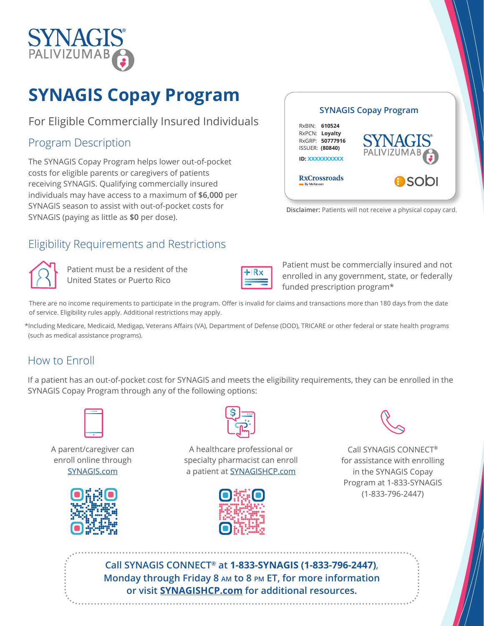

# **SYNAGIS Copay Program**

For Eligible Commercially Insured Individuals

### Program Description

The SYNAGIS Copay Program helps lower out-of-pocket costs for eligible parents or caregivers of patients receiving SYNAGIS. Qualifying commercially insured individuals may have access to a maximum of **\$6,000** per SYNAGIS season to assist with out-of-pocket costs for SYNAGIS (paying as little as **\$0** per dose).



**Disclaimer:** Patients will not receive a physical copay card.

## Eligibility Requirements and Restrictions



Patient must be a resident of the United States or Puerto Rico

Patient must be commercially insured and not enrolled in any government, state, or federally funded prescription program\*

There are no income requirements to participate in the program. Offer is invalid for claims and transactions more than 180 days from the date of service. Eligibility rules apply. Additional restrictions may apply.

\*Including Medicare, Medicaid, Medigap, Veterans Affairs (VA), Department of Defense (DOD), TRICARE or other federal or state health programs (such as medical assistance programs).

#### How to Enroll

If a patient has an out-of-pocket cost for SYNAGIS and meets the eligibility requirements, they can be enrolled in the SYNAGIS Copay Program through any of the following options:



A parent/caregiver can enroll online through [SYNAGIS.com](https://synagis.com/index.html)





A healthcare professional or specialty pharmacist can enroll a patient at [SYNAGISHCP.com](https://www.activatethecard.com/7916/)





Call SYNAGIS CONNECT**®** for assistance with enrolling in the SYNAGIS Copay Program at 1-833-SYNAGIS (1-833-796-2447)

**Call SYNAGIS CONNECT® at 1-833-SYNAGIS (1-833-796-2447)**, **Monday through Friday 8 am to 8 pm ET, for more information or visit [SYNAGISHCP.com](https://synagishcp.com/index.html) for additional resources.**